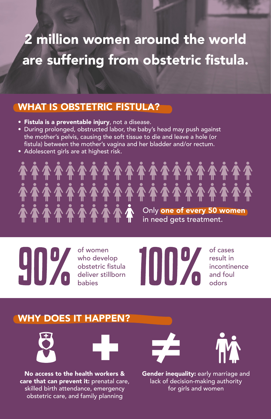## 2 million women around the world are suffering from obstetric fistula.

#### WHAT IS OBSTETRIC FISTULA?

- **Fistula is a preventable injury**, not a disease.
- During prolonged, obstructed labor, the baby's head may push against the mother's pelvis, causing the soft tissue to die and leave a hole (or fistula) between the mother's vagina and her bladder and/or rectum.
- Adolescent girls are at highest risk.



of women who develop obstetric fistula deliver stillborn babies



of cases result in incontinence and foul odors

### WHY DOES IT HAPPEN?





No access to the health workers & care that can prevent it: prenatal care, skilled birth attendance, emergency obstetric care, and family planning





Gender inequality: early marriage and lack of decision-making authority for girls and women